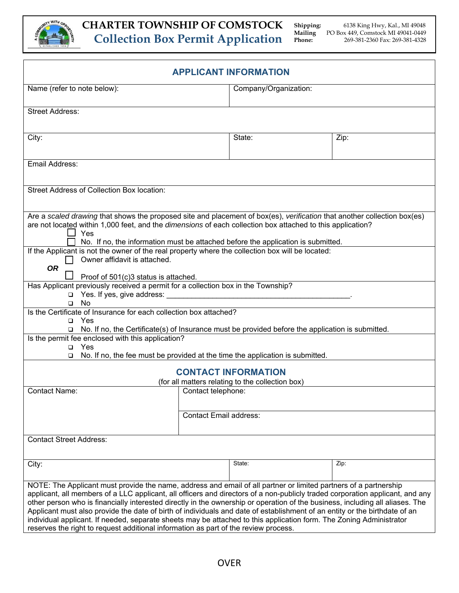

| <b>APPLICANT INFORMATION</b>                                                                                                                                                                                                                                                                                                                                                                                                                                                                                                                                                                                                                                                                                                   |                                                |      |  |  |
|--------------------------------------------------------------------------------------------------------------------------------------------------------------------------------------------------------------------------------------------------------------------------------------------------------------------------------------------------------------------------------------------------------------------------------------------------------------------------------------------------------------------------------------------------------------------------------------------------------------------------------------------------------------------------------------------------------------------------------|------------------------------------------------|------|--|--|
| Name (refer to note below):                                                                                                                                                                                                                                                                                                                                                                                                                                                                                                                                                                                                                                                                                                    | Company/Organization:                          |      |  |  |
| <b>Street Address:</b>                                                                                                                                                                                                                                                                                                                                                                                                                                                                                                                                                                                                                                                                                                         |                                                |      |  |  |
| City:                                                                                                                                                                                                                                                                                                                                                                                                                                                                                                                                                                                                                                                                                                                          | State:                                         | Zip: |  |  |
| Email Address:                                                                                                                                                                                                                                                                                                                                                                                                                                                                                                                                                                                                                                                                                                                 |                                                |      |  |  |
| <b>Street Address of Collection Box location:</b>                                                                                                                                                                                                                                                                                                                                                                                                                                                                                                                                                                                                                                                                              |                                                |      |  |  |
| Are a scaled drawing that shows the proposed site and placement of box(es), verification that another collection box(es)<br>are not located within 1,000 feet, and the dimensions of each collection box attached to this application?<br>Yes<br>No. If no, the information must be attached before the application is submitted.                                                                                                                                                                                                                                                                                                                                                                                              |                                                |      |  |  |
| If the Applicant is not the owner of the real property where the collection box will be located:<br>Owner affidavit is attached.<br><b>OR</b><br>Proof of 501(c)3 status is attached.                                                                                                                                                                                                                                                                                                                                                                                                                                                                                                                                          |                                                |      |  |  |
| Has Applicant previously received a permit for a collection box in the Township?<br>Yes. If yes, give address:<br>$\Box$<br>No<br>$\Box$                                                                                                                                                                                                                                                                                                                                                                                                                                                                                                                                                                                       | <u> 1980 - Jan James James Barbara, manata</u> |      |  |  |
| Is the Certificate of Insurance for each collection box attached?<br>$\Box$ Yes<br>□ No. If no, the Certificate(s) of Insurance must be provided before the application is submitted.                                                                                                                                                                                                                                                                                                                                                                                                                                                                                                                                          |                                                |      |  |  |
| Is the permit fee enclosed with this application?<br>$\Box$ Yes<br>No. If no, the fee must be provided at the time the application is submitted.<br>$\Box$                                                                                                                                                                                                                                                                                                                                                                                                                                                                                                                                                                     |                                                |      |  |  |
| <b>CONTACT INFORMATION</b><br>(for all matters relating to the collection box)                                                                                                                                                                                                                                                                                                                                                                                                                                                                                                                                                                                                                                                 |                                                |      |  |  |
| <b>Contact Name:</b>                                                                                                                                                                                                                                                                                                                                                                                                                                                                                                                                                                                                                                                                                                           | Contact telephone:                             |      |  |  |
|                                                                                                                                                                                                                                                                                                                                                                                                                                                                                                                                                                                                                                                                                                                                | <b>Contact Email address:</b>                  |      |  |  |
| <b>Contact Street Address:</b>                                                                                                                                                                                                                                                                                                                                                                                                                                                                                                                                                                                                                                                                                                 |                                                |      |  |  |
| City:                                                                                                                                                                                                                                                                                                                                                                                                                                                                                                                                                                                                                                                                                                                          | State:                                         | Zip: |  |  |
| NOTE: The Applicant must provide the name, address and email of all partner or limited partners of a partnership<br>applicant, all members of a LLC applicant, all officers and directors of a non-publicly traded corporation applicant, and any<br>other person who is financially interested directly in the ownership or operation of the business, including all aliases. The<br>Applicant must also provide the date of birth of individuals and date of establishment of an entity or the birthdate of an<br>individual applicant. If needed, separate sheets may be attached to this application form. The Zoning Administrator<br>reserves the right to request additional information as part of the review process. |                                                |      |  |  |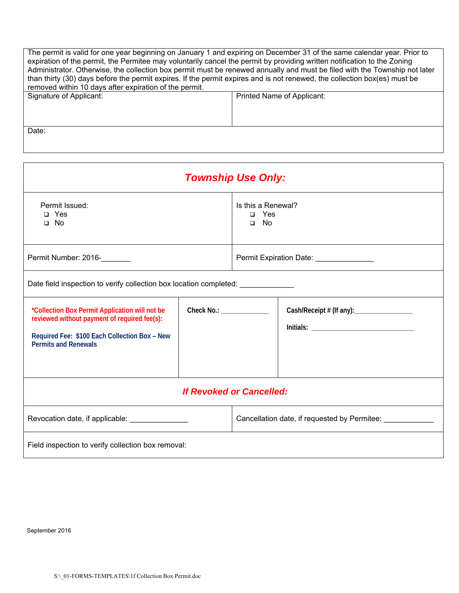| The permit is valid for one year beginning on January 1 and expiring on December 31 of the same calendar year. Prior to<br>expiration of the permit, the Permitee may voluntarily cancel the permit by providing written notification to the Zoning<br>Administrator. Otherwise, the collection box permit must be renewed annually and must be filed with the Township not later<br>than thirty (30) days before the permit expires. If the permit expires and is not renewed, the collection box(es) must be<br>removed within 10 days after expiration of the permit. |                            |  |
|--------------------------------------------------------------------------------------------------------------------------------------------------------------------------------------------------------------------------------------------------------------------------------------------------------------------------------------------------------------------------------------------------------------------------------------------------------------------------------------------------------------------------------------------------------------------------|----------------------------|--|
| Signature of Applicant:                                                                                                                                                                                                                                                                                                                                                                                                                                                                                                                                                  | Printed Name of Applicant: |  |
|                                                                                                                                                                                                                                                                                                                                                                                                                                                                                                                                                                          |                            |  |
|                                                                                                                                                                                                                                                                                                                                                                                                                                                                                                                                                                          |                            |  |
|                                                                                                                                                                                                                                                                                                                                                                                                                                                                                                                                                                          |                            |  |
| Date:                                                                                                                                                                                                                                                                                                                                                                                                                                                                                                                                                                    |                            |  |
|                                                                                                                                                                                                                                                                                                                                                                                                                                                                                                                                                                          |                            |  |

| <b>Township Use Only:</b>                                                                                                                                                      |                                          |                                                  |                                           |  |
|--------------------------------------------------------------------------------------------------------------------------------------------------------------------------------|------------------------------------------|--------------------------------------------------|-------------------------------------------|--|
| Permit Issued:<br>$\Box$ Yes<br>$\square$ No                                                                                                                                   |                                          | Is this a Renewal?<br>$\Box$ Yes<br>$\square$ No |                                           |  |
| Permit Number: 2016-                                                                                                                                                           |                                          | Permit Expiration Date: _______________          |                                           |  |
| Date field inspection to verify collection box location completed:                                                                                                             |                                          |                                                  |                                           |  |
| *Collection Box Permit Application will not be<br>reviewed without payment of required fee(s):<br>Required Fee: \$100 Each Collection Box - New<br><b>Permits and Renewals</b> | Check No.: <u>______________________</u> |                                                  | Cash/Receipt # (If any): ________________ |  |
| <b>If Revoked or Cancelled:</b>                                                                                                                                                |                                          |                                                  |                                           |  |
| Revocation date, if applicable: ________________                                                                                                                               |                                          | Cancellation date, if requested by Permitee:     |                                           |  |
| Field inspection to verify collection box removal:                                                                                                                             |                                          |                                                  |                                           |  |